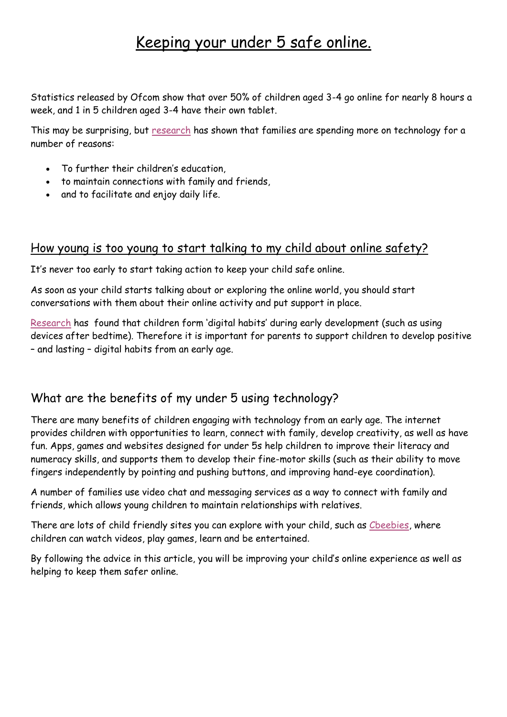## Keeping your under 5 safe online.

Statistics released by Ofcom show that over 50% of children aged 3-4 go online for nearly 8 hours a week, and 1 in 5 children aged 3-4 have their own tablet.

This may be surprising, but [research](http://eprints.lse.ac.uk/66927/1/Policy%20Brief%2017-%20Families%20%20Screen%20Time.pdf) has shown that families are spending more on technology for a number of reasons:

- To further their children's education,
- to maintain connections with family and friends,
- and to facilitate and enjoy daily life.

## How young is too young to start talking to my child about online safety?

It's never too early to start taking action to keep your child safe online.

As soon as your child starts talking about or exploring the online world, you should start conversations with them about their online activity and put support in place.

[Research](https://5rightsfoundation.com/in-action/digital-childhood-report-launched-at-bbcs-childrens-global-media-summit.html) has found that children form 'digital habits' during early development (such as using devices after bedtime). Therefore it is important for parents to support children to develop positive – and lasting – digital habits from an early age.

## What are the benefits of my under 5 using technology?

There are many benefits of children engaging with technology from an early age. The internet provides children with opportunities to learn, connect with family, develop creativity, as well as have fun. Apps, games and websites designed for under 5s help children to improve their literacy and numeracy skills, and supports them to develop their fine-motor skills (such as their ability to move fingers independently by pointing and pushing buttons, and improving hand-eye coordination).

A number of families use video chat and messaging services as a way to connect with family and friends, which allows young children to maintain relationships with relatives.

There are lots of child friendly sites you can explore with your child, such as Cheebies, where children can watch videos, play games, learn and be entertained.

By following the advice in this article, you will be improving your child's online experience as well as helping to keep them safer online.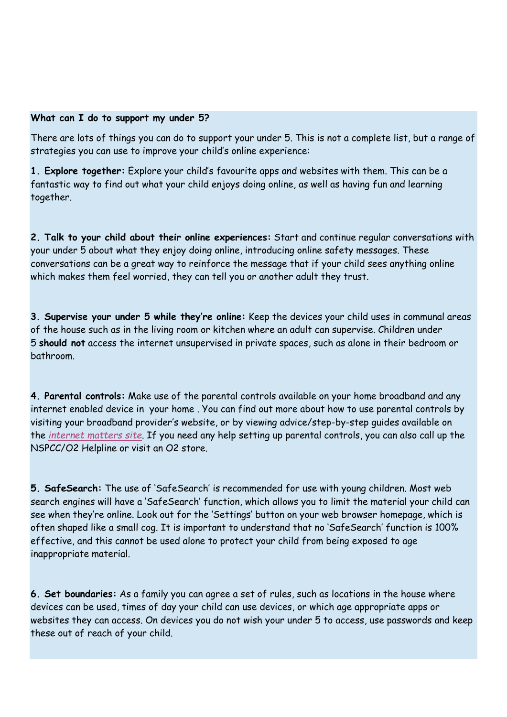## **What can I do to support my under 5?**

There are lots of things you can do to support your under 5. This is not a complete list, but a range of strategies you can use to improve your child's online experience:

**1. Explore together:** Explore your child's favourite apps and websites with them. This can be a fantastic way to find out what your child enjoys doing online, as well as having fun and learning together.

**2. Talk to your child about their online experiences:** Start and continue regular conversations with your under 5 about what they enjoy doing online, introducing online safety messages. These conversations can be a great way to reinforce the message that if your child sees anything online which makes them feel worried, they can tell you or another adult they trust.

**3. Supervise your under 5 while they're online:** Keep the devices your child uses in communal areas of the house such as in the living room or kitchen where an adult can supervise. Children under 5 **should not** access the internet unsupervised in private spaces, such as alone in their bedroom or bathroom.

**4. Parental controls:** Make use of the parental controls available on your home broadband and any internet enabled device in your home . You can find out more about how to use parental controls by visiting your broadband provider's website, or by viewing advice/step-by-step guides available on the *[internet matters site](https://www.internetmatters.org/parental-controls/)*. If you need any help setting up parental controls, you can also call up the NSPCC/O2 Helpline or visit an O2 store.

**5. SafeSearch:** The use of 'SafeSearch' is recommended for use with young children. Most web search engines will have a 'SafeSearch' function, which allows you to limit the material your child can see when they're online. Look out for the 'Settings' button on your web browser homepage, which is often shaped like a small cog. It is important to understand that no 'SafeSearch' function is 100% effective, and this cannot be used alone to protect your child from being exposed to age inappropriate material.

**6. Set boundaries:** As a family you can agree a set of rules, such as locations in the house where devices can be used, times of day your child can use devices, or which age appropriate apps or websites they can access. On devices you do not wish your under 5 to access, use passwords and keep these out of reach of your child.